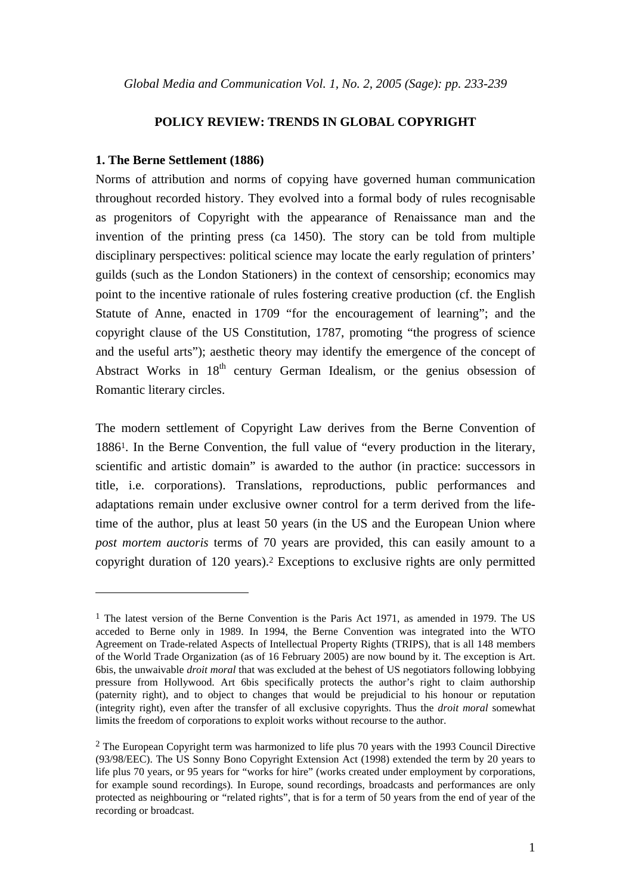# **POLICY REVIEW: TRENDS IN GLOBAL COPYRIGHT**

# **1. The Berne Settlement (1886)**

 $\overline{a}$ 

Norms of attribution and norms of copying have governed human communication throughout recorded history. They evolved into a formal body of rules recognisable as progenitors of Copyright with the appearance of Renaissance man and the invention of the printing press (ca 1450). The story can be told from multiple disciplinary perspectives: political science may locate the early regulation of printers' guilds (such as the London Stationers) in the context of censorship; economics may point to the incentive rationale of rules fostering creative production (cf. the English Statute of Anne, enacted in 1709 "for the encouragement of learning"; and the copyright clause of the US Constitution, 1787, promoting "the progress of science and the useful arts"); aesthetic theory may identify the emergence of the concept of Abstract Works in  $18<sup>th</sup>$  century German Idealism, or the genius obsession of Romantic literary circles.

The modern settlement of Copyright Law derives from the Berne Convention of 18861. In the Berne Convention, the full value of "every production in the literary, scientific and artistic domain" is awarded to the author (in practice: successors in title, i.e. corporations). Translations, reproductions, public performances and adaptations remain under exclusive owner control for a term derived from the lifetime of the author, plus at least 50 years (in the US and the European Union where *post mortem auctoris* terms of 70 years are provided, this can easily amount to a copyright duration of 120 years).2 Exceptions to exclusive rights are only permitted

<sup>&</sup>lt;sup>1</sup> The latest version of the Berne Convention is the Paris Act 1971, as amended in 1979. The US acceded to Berne only in 1989. In 1994, the Berne Convention was integrated into the WTO Agreement on Trade-related Aspects of Intellectual Property Rights (TRIPS), that is all 148 members of the World Trade Organization (as of 16 February 2005) are now bound by it. The exception is Art. 6bis, the unwaivable *droit moral* that was excluded at the behest of US negotiators following lobbying pressure from Hollywood. Art 6bis specifically protects the author's right to claim authorship (paternity right), and to object to changes that would be prejudicial to his honour or reputation (integrity right), even after the transfer of all exclusive copyrights. Thus the *droit moral* somewhat limits the freedom of corporations to exploit works without recourse to the author.

<sup>&</sup>lt;sup>2</sup> The European Copyright term was harmonized to life plus 70 years with the 1993 Council Directive (93/98/EEC). The US Sonny Bono Copyright Extension Act (1998) extended the term by 20 years to life plus 70 years, or 95 years for "works for hire" (works created under employment by corporations, for example sound recordings). In Europe, sound recordings, broadcasts and performances are only protected as neighbouring or "related rights", that is for a term of 50 years from the end of year of the recording or broadcast.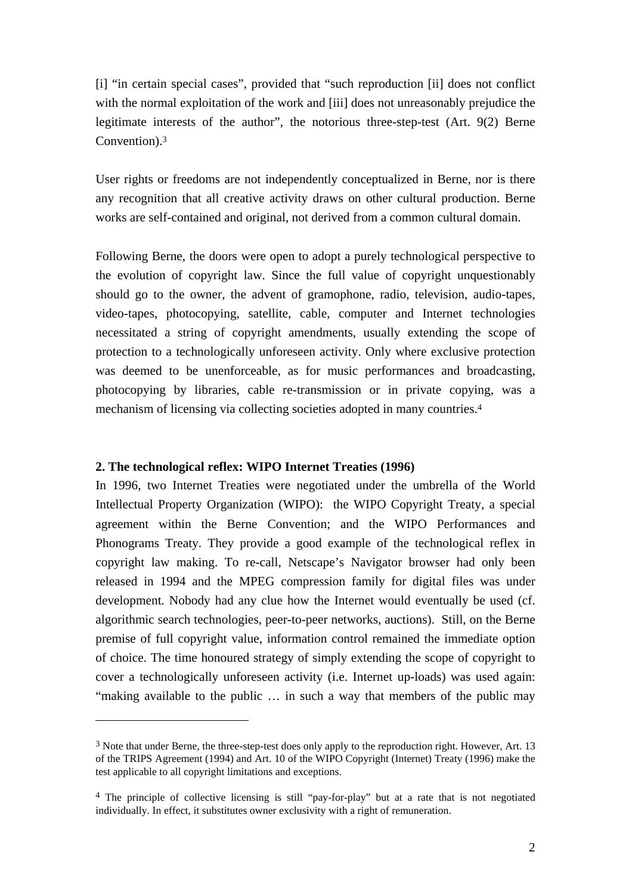[i] "in certain special cases", provided that "such reproduction [ii] does not conflict with the normal exploitation of the work and [iii] does not unreasonably prejudice the legitimate interests of the author", the notorious three-step-test (Art. 9(2) Berne Convention).3

User rights or freedoms are not independently conceptualized in Berne, nor is there any recognition that all creative activity draws on other cultural production. Berne works are self-contained and original, not derived from a common cultural domain.

Following Berne, the doors were open to adopt a purely technological perspective to the evolution of copyright law. Since the full value of copyright unquestionably should go to the owner, the advent of gramophone, radio, television, audio-tapes, video-tapes, photocopying, satellite, cable, computer and Internet technologies necessitated a string of copyright amendments, usually extending the scope of protection to a technologically unforeseen activity. Only where exclusive protection was deemed to be unenforceable, as for music performances and broadcasting, photocopying by libraries, cable re-transmission or in private copying, was a mechanism of licensing via collecting societies adopted in many countries.4

#### **2. The technological reflex: WIPO Internet Treaties (1996)**

 $\overline{a}$ 

In 1996, two Internet Treaties were negotiated under the umbrella of the World Intellectual Property Organization (WIPO): the WIPO Copyright Treaty, a special agreement within the Berne Convention; and the WIPO Performances and Phonograms Treaty. They provide a good example of the technological reflex in copyright law making. To re-call, Netscape's Navigator browser had only been released in 1994 and the MPEG compression family for digital files was under development. Nobody had any clue how the Internet would eventually be used (cf. algorithmic search technologies, peer-to-peer networks, auctions). Still, on the Berne premise of full copyright value, information control remained the immediate option of choice. The time honoured strategy of simply extending the scope of copyright to cover a technologically unforeseen activity (i.e. Internet up-loads) was used again: "making available to the public … in such a way that members of the public may

<sup>3</sup> Note that under Berne, the three-step-test does only apply to the reproduction right. However, Art. 13 of the TRIPS Agreement (1994) and Art. 10 of the WIPO Copyright (Internet) Treaty (1996) make the test applicable to all copyright limitations and exceptions.

<sup>4</sup> The principle of collective licensing is still "pay-for-play" but at a rate that is not negotiated individually. In effect, it substitutes owner exclusivity with a right of remuneration.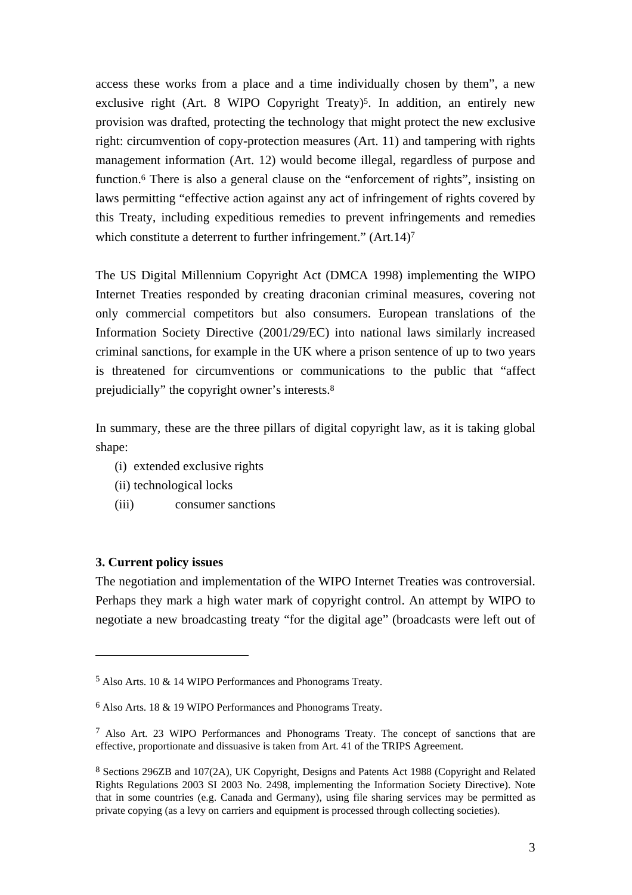access these works from a place and a time individually chosen by them", a new exclusive right (Art. 8 WIPO Copyright Treaty)<sup>5</sup>. In addition, an entirely new provision was drafted, protecting the technology that might protect the new exclusive right: circumvention of copy-protection measures (Art. 11) and tampering with rights management information (Art. 12) would become illegal, regardless of purpose and function.6 There is also a general clause on the "enforcement of rights", insisting on laws permitting "effective action against any act of infringement of rights covered by this Treaty, including expeditious remedies to prevent infringements and remedies which constitute a deterrent to further infringement." (Art. 14)<sup>7</sup>

The US Digital Millennium Copyright Act (DMCA 1998) implementing the WIPO Internet Treaties responded by creating draconian criminal measures, covering not only commercial competitors but also consumers. European translations of the Information Society Directive (2001/29/EC) into national laws similarly increased criminal sanctions, for example in the UK where a prison sentence of up to two years is threatened for circumventions or communications to the public that "affect prejudicially" the copyright owner's interests.8

In summary, these are the three pillars of digital copyright law, as it is taking global shape:

- (i) extended exclusive rights
- (ii) technological locks
- (iii) consumer sanctions

# **3. Current policy issues**

 $\overline{a}$ 

The negotiation and implementation of the WIPO Internet Treaties was controversial. Perhaps they mark a high water mark of copyright control. An attempt by WIPO to negotiate a new broadcasting treaty "for the digital age" (broadcasts were left out of

<sup>5</sup> Also Arts. 10 & 14 WIPO Performances and Phonograms Treaty.

<sup>6</sup> Also Arts. 18 & 19 WIPO Performances and Phonograms Treaty.

<sup>7</sup> Also Art. 23 WIPO Performances and Phonograms Treaty. The concept of sanctions that are effective, proportionate and dissuasive is taken from Art. 41 of the TRIPS Agreement.

<sup>8</sup> Sections 296ZB and 107(2A), UK Copyright, Designs and Patents Act 1988 (Copyright and Related Rights Regulations 2003 SI 2003 No. 2498, implementing the Information Society Directive). Note that in some countries (e.g. Canada and Germany), using file sharing services may be permitted as private copying (as a levy on carriers and equipment is processed through collecting societies).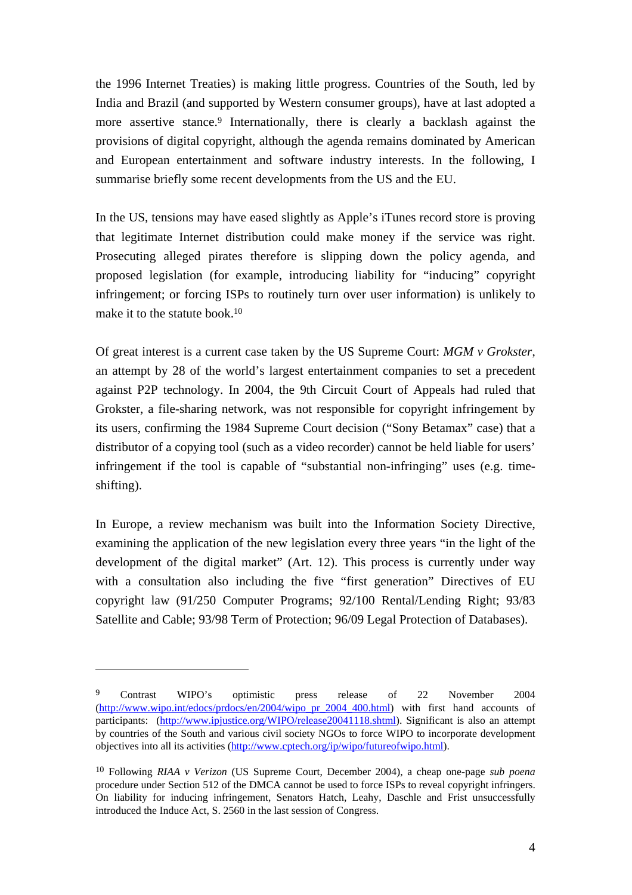the 1996 Internet Treaties) is making little progress. Countries of the South, led by India and Brazil (and supported by Western consumer groups), have at last adopted a more assertive stance.<sup>9</sup> Internationally, there is clearly a backlash against the provisions of digital copyright, although the agenda remains dominated by American and European entertainment and software industry interests. In the following, I summarise briefly some recent developments from the US and the EU.

In the US, tensions may have eased slightly as Apple's iTunes record store is proving that legitimate Internet distribution could make money if the service was right. Prosecuting alleged pirates therefore is slipping down the policy agenda, and proposed legislation (for example, introducing liability for "inducing" copyright infringement; or forcing ISPs to routinely turn over user information) is unlikely to make it to the statute book.10

Of great interest is a current case taken by the US Supreme Court: *MGM v Grokster*, an attempt by 28 of the world's largest entertainment companies to set a precedent against P2P technology. In 2004, the 9th Circuit Court of Appeals had ruled that Grokster, a file-sharing network, was not responsible for copyright infringement by its users, confirming the 1984 Supreme Court decision ("Sony Betamax" case) that a distributor of a copying tool (such as a video recorder) cannot be held liable for users' infringement if the tool is capable of "substantial non-infringing" uses (e.g. timeshifting).

In Europe, a review mechanism was built into the Information Society Directive, examining the application of the new legislation every three years "in the light of the development of the digital market" (Art. 12). This process is currently under way with a consultation also including the five "first generation" Directives of EU copyright law (91/250 Computer Programs; 92/100 Rental/Lending Right; 93/83 Satellite and Cable; 93/98 Term of Protection; 96/09 Legal Protection of Databases).

 $\overline{a}$ 

<sup>&</sup>lt;sup>9</sup> Contrast WIPO's optimistic press release of 22 November 2004 (http://www.wipo.int/edocs/prdocs/en/2004/wipo\_pr\_2004\_400.html) with first hand accounts of participants: (http://www.ipjustice.org/WIPO/release20041118.shtml). Significant is also an attempt by countries of the South and various civil society NGOs to force WIPO to incorporate development objectives into all its activities (http://www.cptech.org/ip/wipo/futureofwipo.html).

<sup>10</sup> Following *RIAA v Verizon* (US Supreme Court, December 2004), a cheap one-page *sub poena* procedure under Section 512 of the DMCA cannot be used to force ISPs to reveal copyright infringers. On liability for inducing infringement, Senators Hatch, Leahy, Daschle and Frist unsuccessfully introduced the Induce Act, S. 2560 in the last session of Congress.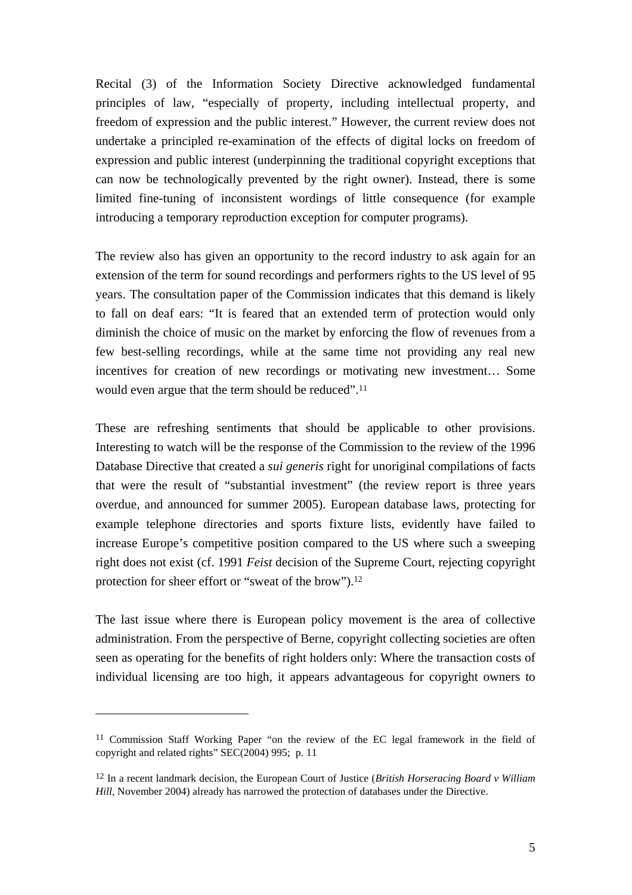Recital (3) of the Information Society Directive acknowledged fundamental principles of law, "especially of property, including intellectual property, and freedom of expression and the public interest." However, the current review does not undertake a principled re-examination of the effects of digital locks on freedom of expression and public interest (underpinning the traditional copyright exceptions that can now be technologically prevented by the right owner). Instead, there is some limited fine-tuning of inconsistent wordings of little consequence (for example introducing a temporary reproduction exception for computer programs).

The review also has given an opportunity to the record industry to ask again for an extension of the term for sound recordings and performers rights to the US level of 95 years. The consultation paper of the Commission indicates that this demand is likely to fall on deaf ears: "It is feared that an extended term of protection would only diminish the choice of music on the market by enforcing the flow of revenues from a few best-selling recordings, while at the same time not providing any real new incentives for creation of new recordings or motivating new investment… Some would even argue that the term should be reduced".11

These are refreshing sentiments that should be applicable to other provisions. Interesting to watch will be the response of the Commission to the review of the 1996 Database Directive that created a *sui generis* right for unoriginal compilations of facts that were the result of "substantial investment" (the review report is three years overdue, and announced for summer 2005). European database laws, protecting for example telephone directories and sports fixture lists, evidently have failed to increase Europe's competitive position compared to the US where such a sweeping right does not exist (cf. 1991 *Feist* decision of the Supreme Court, rejecting copyright protection for sheer effort or "sweat of the brow").12

The last issue where there is European policy movement is the area of collective administration. From the perspective of Berne, copyright collecting societies are often seen as operating for the benefits of right holders only: Where the transaction costs of individual licensing are too high, it appears advantageous for copyright owners to

 $\overline{a}$ 

<sup>11</sup> Commission Staff Working Paper "on the review of the EC legal framework in the field of copyright and related rights" SEC(2004) 995; p. 11

<sup>12</sup> In a recent landmark decision, the European Court of Justice (*British Horseracing Board v William Hill,* November 2004) already has narrowed the protection of databases under the Directive.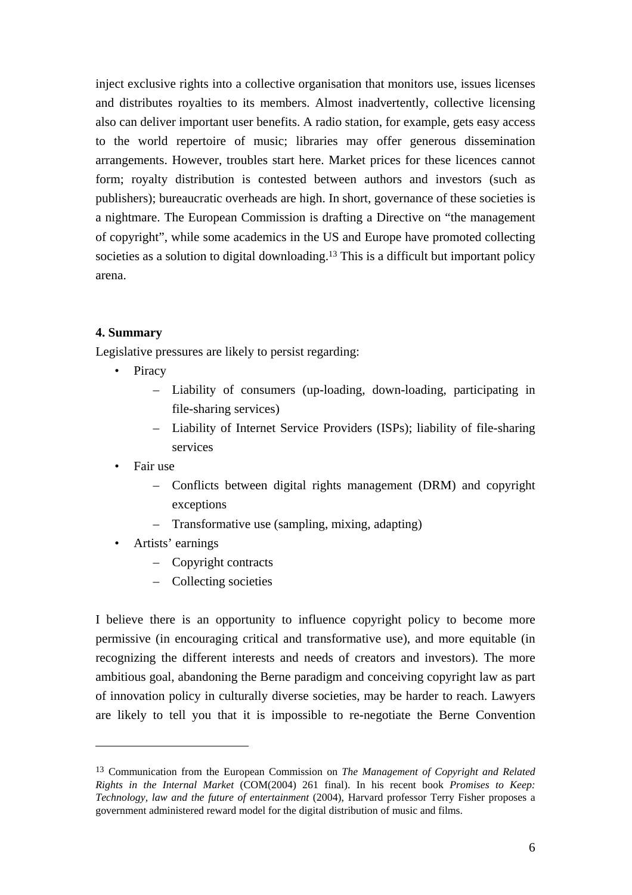inject exclusive rights into a collective organisation that monitors use, issues licenses and distributes royalties to its members. Almost inadvertently, collective licensing also can deliver important user benefits. A radio station, for example, gets easy access to the world repertoire of music; libraries may offer generous dissemination arrangements. However, troubles start here. Market prices for these licences cannot form; royalty distribution is contested between authors and investors (such as publishers); bureaucratic overheads are high. In short, governance of these societies is a nightmare. The European Commission is drafting a Directive on "the management of copyright", while some academics in the US and Europe have promoted collecting societies as a solution to digital downloading.<sup>13</sup> This is a difficult but important policy arena.

# **4. Summary**

Legislative pressures are likely to persist regarding:

- **Piracy** 
	- Liability of consumers (up-loading, down-loading, participating in file-sharing services)
	- Liability of Internet Service Providers (ISPs); liability of file-sharing services
- Fair use

 $\overline{a}$ 

- Conflicts between digital rights management (DRM) and copyright exceptions
- Transformative use (sampling, mixing, adapting)
- Artists' earnings
	- Copyright contracts
	- Collecting societies

I believe there is an opportunity to influence copyright policy to become more permissive (in encouraging critical and transformative use), and more equitable (in recognizing the different interests and needs of creators and investors). The more ambitious goal, abandoning the Berne paradigm and conceiving copyright law as part of innovation policy in culturally diverse societies, may be harder to reach. Lawyers are likely to tell you that it is impossible to re-negotiate the Berne Convention

<sup>13</sup> Communication from the European Commission on *The Management of Copyright and Related Rights in the Internal Market* (COM(2004) 261 final). In his recent book *Promises to Keep: Technology, law and the future of entertainment* (2004), Harvard professor Terry Fisher proposes a government administered reward model for the digital distribution of music and films.